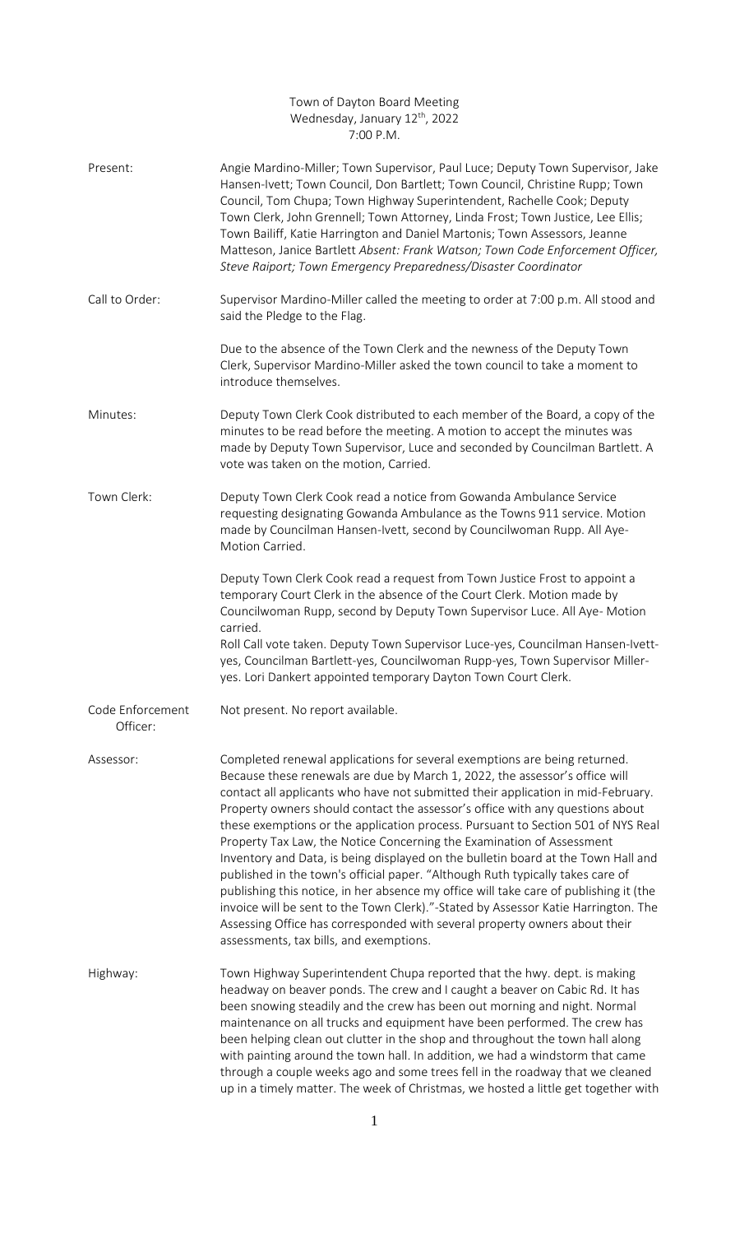## Town of Dayton Board Meeting Wednesday, January 12<sup>th</sup>, 2022 7:00 P.M.

| Present:                     | Angie Mardino-Miller; Town Supervisor, Paul Luce; Deputy Town Supervisor, Jake<br>Hansen-Ivett; Town Council, Don Bartlett; Town Council, Christine Rupp; Town<br>Council, Tom Chupa; Town Highway Superintendent, Rachelle Cook; Deputy<br>Town Clerk, John Grennell; Town Attorney, Linda Frost; Town Justice, Lee Ellis;<br>Town Bailiff, Katie Harrington and Daniel Martonis; Town Assessors, Jeanne<br>Matteson, Janice Bartlett Absent: Frank Watson; Town Code Enforcement Officer,<br>Steve Raiport; Town Emergency Preparedness/Disaster Coordinator                                                                                                                                                                                                                                                                                                                                                                                                            |
|------------------------------|---------------------------------------------------------------------------------------------------------------------------------------------------------------------------------------------------------------------------------------------------------------------------------------------------------------------------------------------------------------------------------------------------------------------------------------------------------------------------------------------------------------------------------------------------------------------------------------------------------------------------------------------------------------------------------------------------------------------------------------------------------------------------------------------------------------------------------------------------------------------------------------------------------------------------------------------------------------------------|
| Call to Order:               | Supervisor Mardino-Miller called the meeting to order at 7:00 p.m. All stood and<br>said the Pledge to the Flag.                                                                                                                                                                                                                                                                                                                                                                                                                                                                                                                                                                                                                                                                                                                                                                                                                                                          |
|                              | Due to the absence of the Town Clerk and the newness of the Deputy Town<br>Clerk, Supervisor Mardino-Miller asked the town council to take a moment to<br>introduce themselves.                                                                                                                                                                                                                                                                                                                                                                                                                                                                                                                                                                                                                                                                                                                                                                                           |
| Minutes:                     | Deputy Town Clerk Cook distributed to each member of the Board, a copy of the<br>minutes to be read before the meeting. A motion to accept the minutes was<br>made by Deputy Town Supervisor, Luce and seconded by Councilman Bartlett. A<br>vote was taken on the motion, Carried.                                                                                                                                                                                                                                                                                                                                                                                                                                                                                                                                                                                                                                                                                       |
| Town Clerk:                  | Deputy Town Clerk Cook read a notice from Gowanda Ambulance Service<br>requesting designating Gowanda Ambulance as the Towns 911 service. Motion<br>made by Councilman Hansen-Ivett, second by Councilwoman Rupp. All Aye-<br>Motion Carried.                                                                                                                                                                                                                                                                                                                                                                                                                                                                                                                                                                                                                                                                                                                             |
|                              | Deputy Town Clerk Cook read a request from Town Justice Frost to appoint a<br>temporary Court Clerk in the absence of the Court Clerk. Motion made by<br>Councilwoman Rupp, second by Deputy Town Supervisor Luce. All Aye- Motion<br>carried.<br>Roll Call vote taken. Deputy Town Supervisor Luce-yes, Councilman Hansen-Ivett-<br>yes, Councilman Bartlett-yes, Councilwoman Rupp-yes, Town Supervisor Miller-                                                                                                                                                                                                                                                                                                                                                                                                                                                                                                                                                         |
|                              | yes. Lori Dankert appointed temporary Dayton Town Court Clerk.                                                                                                                                                                                                                                                                                                                                                                                                                                                                                                                                                                                                                                                                                                                                                                                                                                                                                                            |
| Code Enforcement<br>Officer: | Not present. No report available.                                                                                                                                                                                                                                                                                                                                                                                                                                                                                                                                                                                                                                                                                                                                                                                                                                                                                                                                         |
| Assessor:                    | Completed renewal applications for several exemptions are being returned.<br>Because these renewals are due by March 1, 2022, the assessor's office will<br>contact all applicants who have not submitted their application in mid-February.<br>Property owners should contact the assessor's office with any questions about<br>these exemptions or the application process. Pursuant to Section 501 of NYS Real<br>Property Tax Law, the Notice Concerning the Examination of Assessment<br>Inventory and Data, is being displayed on the bulletin board at the Town Hall and<br>published in the town's official paper. "Although Ruth typically takes care of<br>publishing this notice, in her absence my office will take care of publishing it (the<br>invoice will be sent to the Town Clerk)."-Stated by Assessor Katie Harrington. The<br>Assessing Office has corresponded with several property owners about their<br>assessments, tax bills, and exemptions. |
| Highway:                     | Town Highway Superintendent Chupa reported that the hwy. dept. is making<br>headway on beaver ponds. The crew and I caught a beaver on Cabic Rd. It has<br>been snowing steadily and the crew has been out morning and night. Normal<br>maintenance on all trucks and equipment have been performed. The crew has<br>been helping clean out clutter in the shop and throughout the town hall along<br>with painting around the town hall. In addition, we had a windstorm that came<br>through a couple weeks ago and some trees fell in the roadway that we cleaned<br>up in a timely matter. The week of Christmas, we hosted a little get together with                                                                                                                                                                                                                                                                                                                |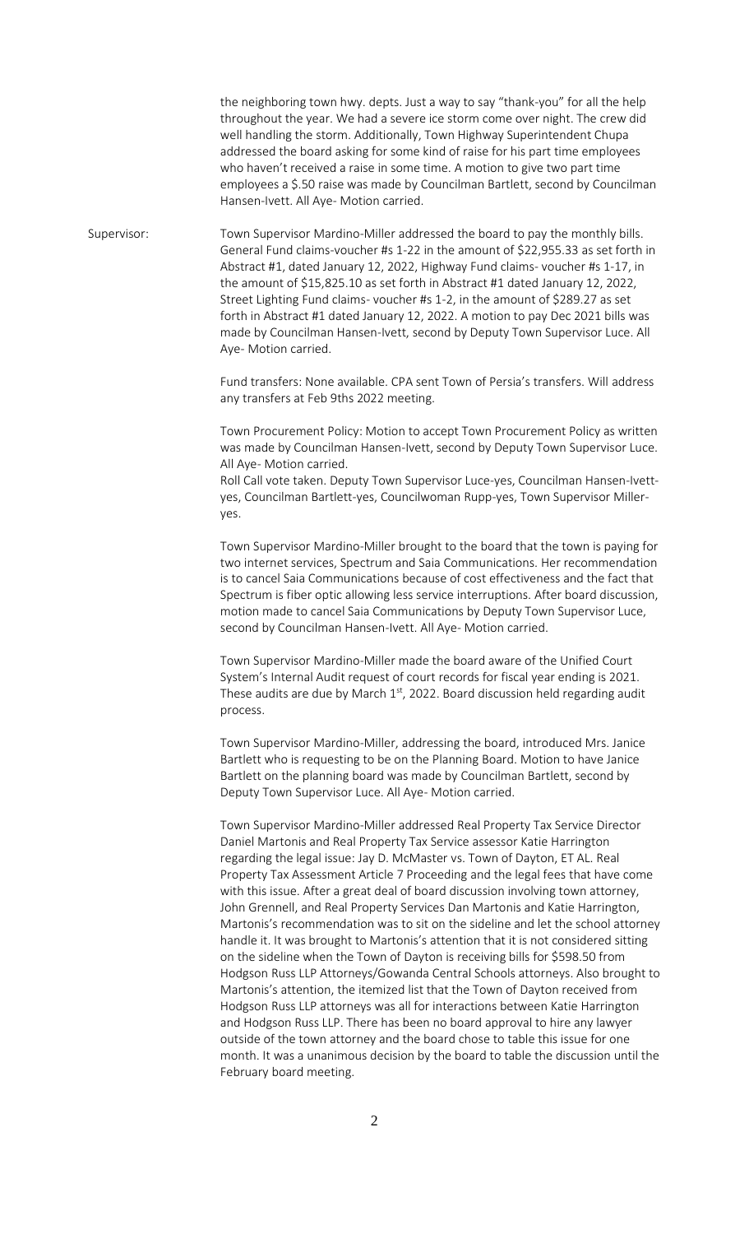the neighboring town hwy. depts. Just a way to say "thank-you" for all the help throughout the year. We had a severe ice storm come over night. The crew did well handling the storm. Additionally, Town Highway Superintendent Chupa addressed the board asking for some kind of raise for his part time employees who haven't received a raise in some time. A motion to give two part time employees a \$.50 raise was made by Councilman Bartlett, second by Councilman Hansen-Ivett. All Aye- Motion carried.

Supervisor: Town Supervisor Mardino-Miller addressed the board to pay the monthly bills. General Fund claims-voucher #s 1-22 in the amount of \$22,955.33 as set forth in Abstract #1, dated January 12, 2022, Highway Fund claims- voucher #s 1-17, in the amount of \$15,825.10 as set forth in Abstract #1 dated January 12, 2022, Street Lighting Fund claims- voucher #s 1-2, in the amount of \$289.27 as set forth in Abstract #1 dated January 12, 2022. A motion to pay Dec 2021 bills was made by Councilman Hansen-Ivett, second by Deputy Town Supervisor Luce. All Aye- Motion carried.

> Fund transfers: None available. CPA sent Town of Persia's transfers. Will address any transfers at Feb 9ths 2022 meeting.

Town Procurement Policy: Motion to accept Town Procurement Policy as written was made by Councilman Hansen-Ivett, second by Deputy Town Supervisor Luce. All Aye- Motion carried.

Roll Call vote taken. Deputy Town Supervisor Luce-yes, Councilman Hansen-Ivettyes, Councilman Bartlett-yes, Councilwoman Rupp-yes, Town Supervisor Milleryes.

Town Supervisor Mardino-Miller brought to the board that the town is paying for two internet services, Spectrum and Saia Communications. Her recommendation is to cancel Saia Communications because of cost effectiveness and the fact that Spectrum is fiber optic allowing less service interruptions. After board discussion, motion made to cancel Saia Communications by Deputy Town Supervisor Luce, second by Councilman Hansen-Ivett. All Aye- Motion carried.

Town Supervisor Mardino-Miller made the board aware of the Unified Court System's Internal Audit request of court records for fiscal year ending is 2021. These audits are due by March  $1<sup>st</sup>$ , 2022. Board discussion held regarding audit process.

Town Supervisor Mardino-Miller, addressing the board, introduced Mrs. Janice Bartlett who is requesting to be on the Planning Board. Motion to have Janice Bartlett on the planning board was made by Councilman Bartlett, second by Deputy Town Supervisor Luce. All Aye- Motion carried.

Town Supervisor Mardino-Miller addressed Real Property Tax Service Director Daniel Martonis and Real Property Tax Service assessor Katie Harrington regarding the legal issue: Jay D. McMaster vs. Town of Dayton, ET AL. Real Property Tax Assessment Article 7 Proceeding and the legal fees that have come with this issue. After a great deal of board discussion involving town attorney, John Grennell, and Real Property Services Dan Martonis and Katie Harrington, Martonis's recommendation was to sit on the sideline and let the school attorney handle it. It was brought to Martonis's attention that it is not considered sitting on the sideline when the Town of Dayton is receiving bills for \$598.50 from Hodgson Russ LLP Attorneys/Gowanda Central Schools attorneys. Also brought to Martonis's attention, the itemized list that the Town of Dayton received from Hodgson Russ LLP attorneys was all for interactions between Katie Harrington and Hodgson Russ LLP. There has been no board approval to hire any lawyer outside of the town attorney and the board chose to table this issue for one month. It was a unanimous decision by the board to table the discussion until the February board meeting.